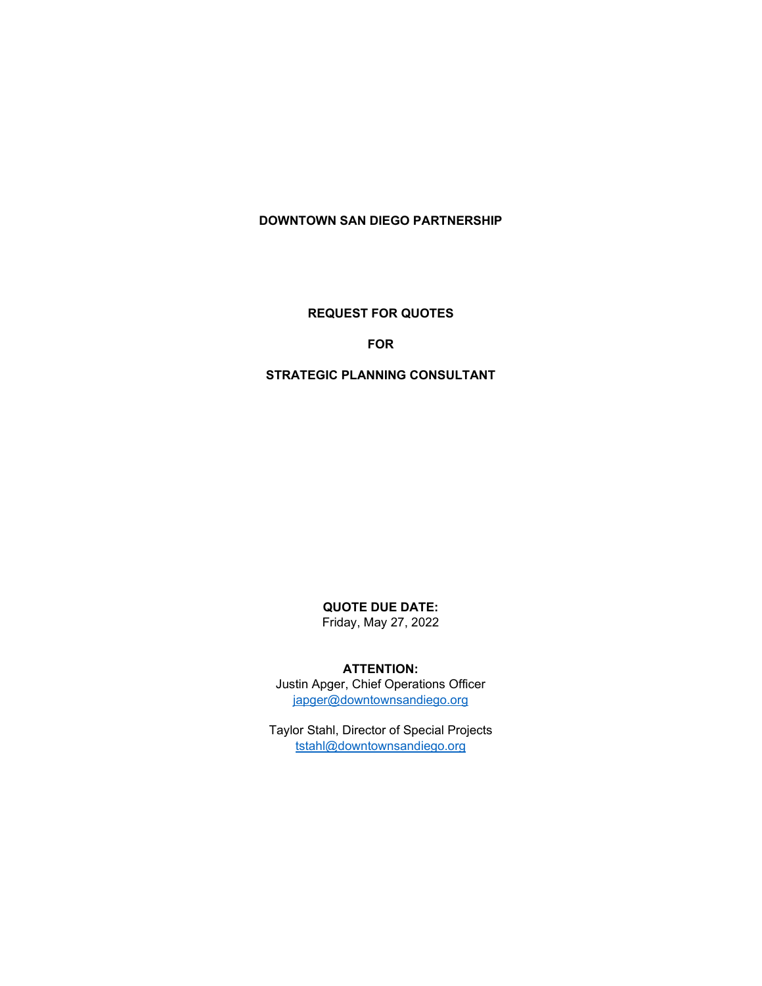# **DOWNTOWN SAN DIEGO PARTNERSHIP**

## **REQUEST FOR QUOTES**

## **FOR**

#### **STRATEGIC PLANNING CONSULTANT**

# **QUOTE DUE DATE:**

Friday, May 27, 2022

#### **ATTENTION:**

Justin Apger, Chief Operations Officer [japger@downtownsandiego.org](mailto:japger@downtownsandiego.org)

Taylor Stahl, Director of Special Projects [tstahl@downtownsandiego.org](mailto:tstahl@downtownsandiego.org)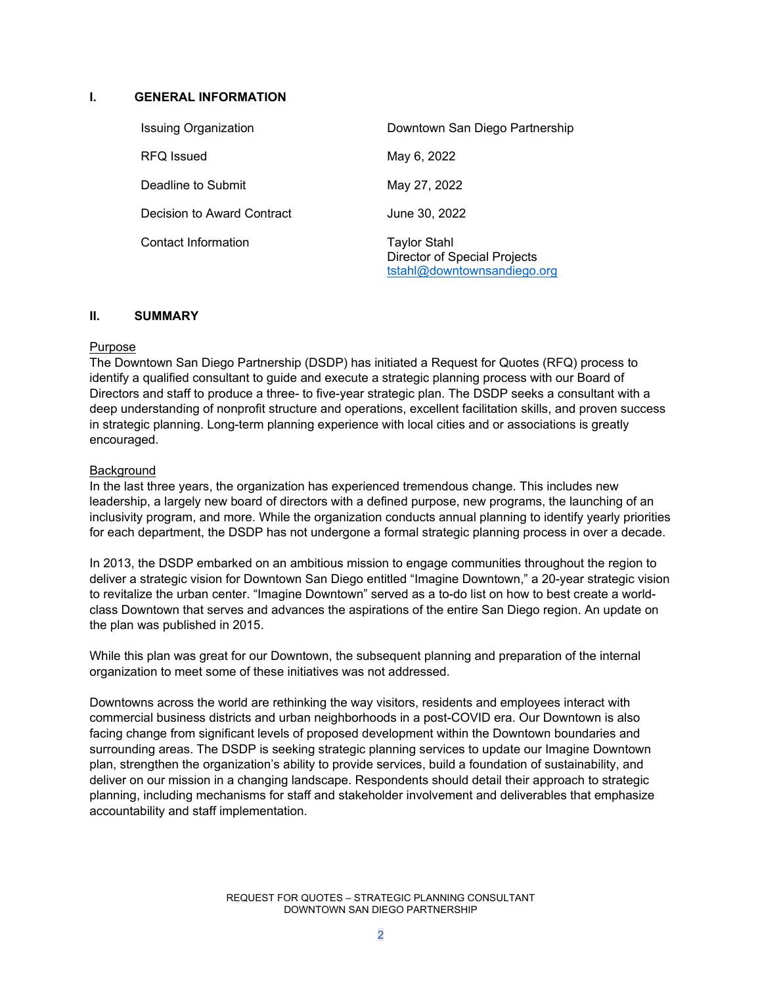#### **I. GENERAL INFORMATION**

| <b>Issuing Organization</b> | Downtown San Diego Partnership                                                     |
|-----------------------------|------------------------------------------------------------------------------------|
| RFQ Issued                  | May 6, 2022                                                                        |
| Deadline to Submit          | May 27, 2022                                                                       |
| Decision to Award Contract  | June 30, 2022                                                                      |
| <b>Contact Information</b>  | <b>Taylor Stahl</b><br>Director of Special Projects<br>tstahl@downtownsandiego.org |

## **II. SUMMARY**

#### Purpose

The Downtown San Diego Partnership (DSDP) has initiated a Request for Quotes (RFQ) process to identify a qualified consultant to guide and execute a strategic planning process with our Board of Directors and staff to produce a three- to five-year strategic plan. The DSDP seeks a consultant with a deep understanding of nonprofit structure and operations, excellent facilitation skills, and proven success in strategic planning. Long-term planning experience with local cities and or associations is greatly encouraged.

#### **Background**

In the last three years, the organization has experienced tremendous change. This includes new leadership, a largely new board of directors with a defined purpose, new programs, the launching of an inclusivity program, and more. While the organization conducts annual planning to identify yearly priorities for each department, the DSDP has not undergone a formal strategic planning process in over a decade.

In 2013, the DSDP embarked on an ambitious mission to engage communities throughout the region to deliver a strategic vision for Downtown San Diego entitled "Imagine Downtown," a 20-year strategic vision to revitalize the urban center. "Imagine Downtown" served as a to-do list on how to best create a worldclass Downtown that serves and advances the aspirations of the entire San Diego region. An update on the plan was published in 2015.

While this plan was great for our Downtown, the subsequent planning and preparation of the internal organization to meet some of these initiatives was not addressed.

Downtowns across the world are rethinking the way visitors, residents and employees interact with commercial business districts and urban neighborhoods in a post-COVID era. Our Downtown is also facing change from significant levels of proposed development within the Downtown boundaries and surrounding areas. The DSDP is seeking strategic planning services to update our Imagine Downtown plan, strengthen the organization's ability to provide services, build a foundation of sustainability, and deliver on our mission in a changing landscape. Respondents should detail their approach to strategic planning, including mechanisms for staff and stakeholder involvement and deliverables that emphasize accountability and staff implementation.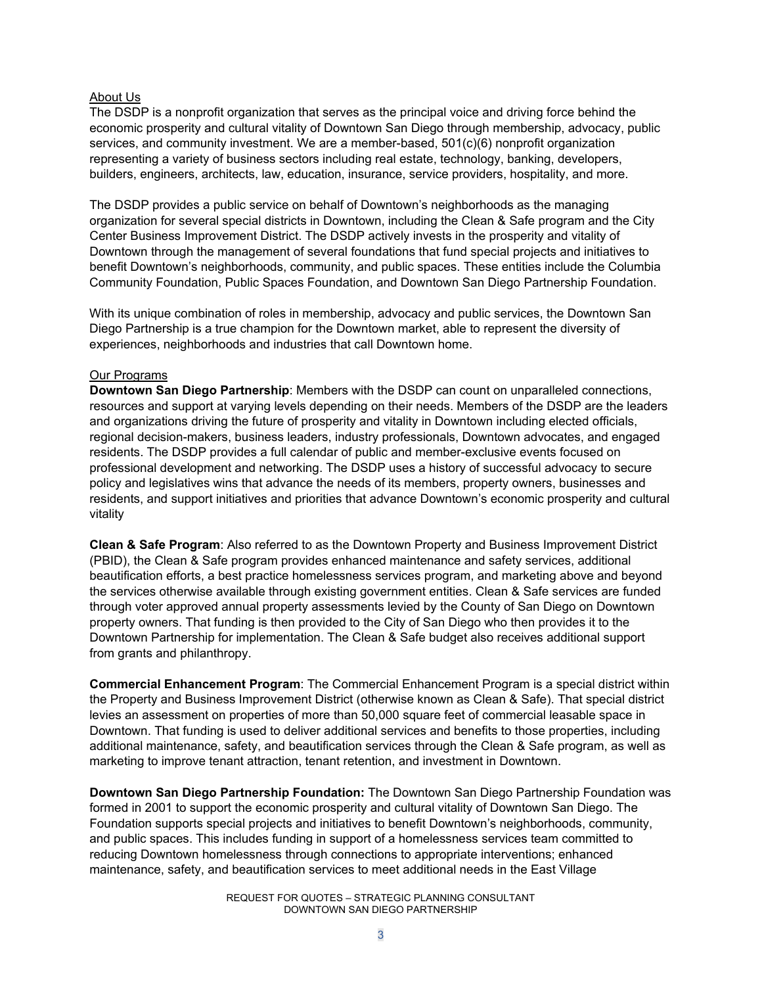#### About Us

The DSDP is a nonprofit organization that serves as the principal voice and driving force behind the economic prosperity and cultural vitality of Downtown San Diego through membership, advocacy, public services, and community investment. We are a member-based, 501(c)(6) nonprofit organization representing a variety of business sectors including real estate, technology, banking, developers, builders, engineers, architects, law, education, insurance, service providers, hospitality, and more.

The DSDP provides a public service on behalf of Downtown's neighborhoods as the managing organization for several special districts in Downtown, including the Clean & Safe program and the City Center Business Improvement District. The DSDP actively invests in the prosperity and vitality of Downtown through the management of several foundations that fund special projects and initiatives to benefit Downtown's neighborhoods, community, and public spaces. These entities include the Columbia Community Foundation, Public Spaces Foundation, and Downtown San Diego Partnership Foundation.

With its unique combination of roles in membership, advocacy and public services, the Downtown San Diego Partnership is a true champion for the Downtown market, able to represent the diversity of experiences, neighborhoods and industries that call Downtown home.

## Our Programs

**Downtown San Diego Partnership**: Members with the DSDP can count on unparalleled connections, resources and support at varying levels depending on their needs. Members of the DSDP are the leaders and organizations driving the future of prosperity and vitality in Downtown including elected officials, regional decision-makers, business leaders, industry professionals, Downtown advocates, and engaged residents. The DSDP provides a full calendar of public and member-exclusive events focused on professional development and networking. The DSDP uses a history of successful advocacy to secure policy and legislatives wins that advance the needs of its members, property owners, businesses and residents, and support initiatives and priorities that advance Downtown's economic prosperity and cultural vitality

**Clean & Safe Program**: Also referred to as the Downtown Property and Business Improvement District (PBID), the Clean & Safe program provides enhanced maintenance and safety services, additional beautification efforts, a best practice homelessness services program, and marketing above and beyond the services otherwise available through existing government entities. Clean & Safe services are funded through voter approved annual property assessments levied by the County of San Diego on Downtown property owners. That funding is then provided to the City of San Diego who then provides it to the Downtown Partnership for implementation. The Clean & Safe budget also receives additional support from grants and philanthropy.

**Commercial Enhancement Program**: The Commercial Enhancement Program is a special district within the Property and Business Improvement District (otherwise known as Clean & Safe). That special district levies an assessment on properties of more than 50,000 square feet of commercial leasable space in Downtown. That funding is used to deliver additional services and benefits to those properties, including additional maintenance, safety, and beautification services through the Clean & Safe program, as well as marketing to improve tenant attraction, tenant retention, and investment in Downtown.

**Downtown San Diego Partnership Foundation:** The Downtown San Diego Partnership Foundation was formed in 2001 to support the economic prosperity and cultural vitality of Downtown San Diego. The Foundation supports special projects and initiatives to benefit Downtown's neighborhoods, community, and public spaces. This includes funding in support of a homelessness services team committed to reducing Downtown homelessness through connections to appropriate interventions; enhanced maintenance, safety, and beautification services to meet additional needs in the East Village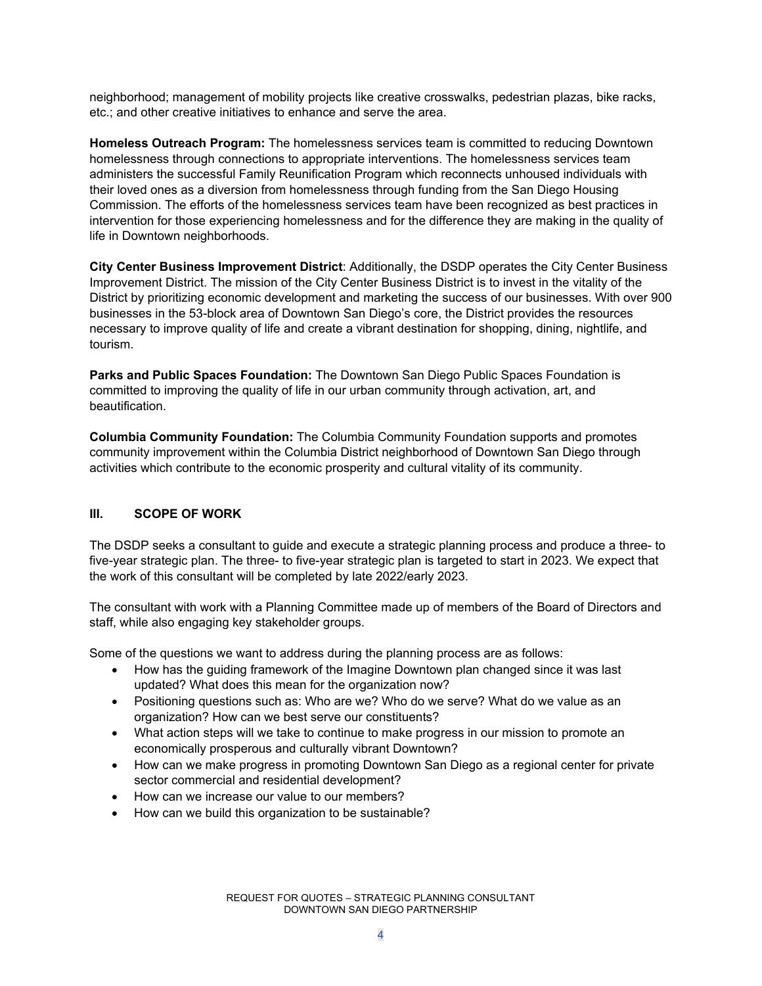neighborhood; management of mobility projects like creative crosswalks, pedestrian plazas, bike racks, etc.; and other creative initiatives to enhance and serve the area.

**Homeless Outreach Program:** The homelessness services team is committed to reducing Downtown homelessness through connections to appropriate interventions. The homelessness services team administers the successful Family Reunification Program which reconnects unhoused individuals with their loved ones as a diversion from homelessness through funding from the San Diego Housing Commission. The efforts of the homelessness services team have been recognized as best practices in intervention for those experiencing homelessness and for the difference they are making in the quality of life in Downtown neighborhoods.

**City Center Business Improvement District**: Additionally, the DSDP operates the City Center Business Improvement District. The mission of the City Center Business District is to invest in the vitality of the District by prioritizing economic development and marketing the success of our businesses. With over 900 businesses in the 53-block area of Downtown San Diego's core, the District provides the resources necessary to improve quality of life and create a vibrant destination for shopping, dining, nightlife, and tourism.

**Parks and Public Spaces Foundation:** The Downtown San Diego Public Spaces Foundation is committed to improving the quality of life in our urban community through activation, art, and beautification.

**Columbia Community Foundation:** The Columbia Community Foundation supports and promotes community improvement within the Columbia District neighborhood of Downtown San Diego through activities which contribute to the economic prosperity and cultural vitality of its community.

## **III. SCOPE OF WORK**

The DSDP seeks a consultant to guide and execute a strategic planning process and produce a three- to five-year strategic plan. The three- to five-year strategic plan is targeted to start in 2023. We expect that the work of this consultant will be completed by late 2022/early 2023.

The consultant with work with a Planning Committee made up of members of the Board of Directors and staff, while also engaging key stakeholder groups.

Some of the questions we want to address during the planning process are as follows:

- How has the guiding framework of the Imagine Downtown plan changed since it was last updated? What does this mean for the organization now?
- Positioning questions such as: Who are we? Who do we serve? What do we value as an organization? How can we best serve our constituents?
- What action steps will we take to continue to make progress in our mission to promote an economically prosperous and culturally vibrant Downtown?
- How can we make progress in promoting Downtown San Diego as a regional center for private sector commercial and residential development?
- How can we increase our value to our members?
- How can we build this organization to be sustainable?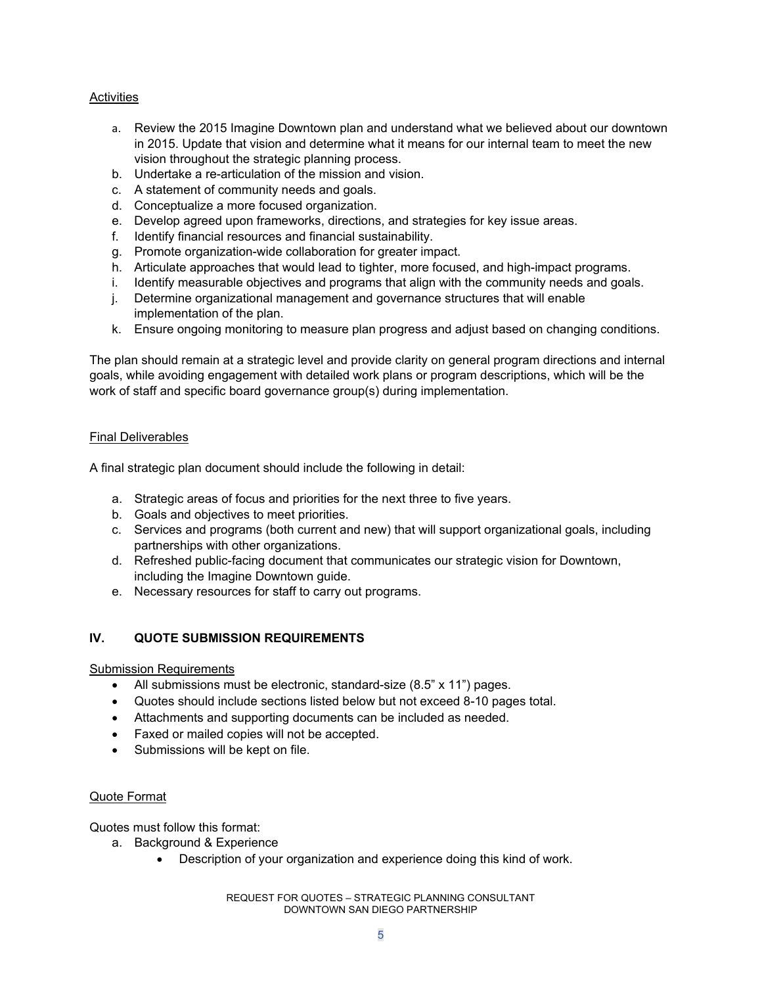## Activities

- a. Review the 2015 Imagine Downtown plan and understand what we believed about our downtown in 2015. Update that vision and determine what it means for our internal team to meet the new vision throughout the strategic planning process.
- b. Undertake a re-articulation of the mission and vision.
- c. A statement of community needs and goals.
- d. Conceptualize a more focused organization.
- e. Develop agreed upon frameworks, directions, and strategies for key issue areas.
- f. Identify financial resources and financial sustainability.
- g. Promote organization-wide collaboration for greater impact.
- h. Articulate approaches that would lead to tighter, more focused, and high-impact programs.
- i. Identify measurable objectives and programs that align with the community needs and goals.
- j. Determine organizational management and governance structures that will enable implementation of the plan.
- k. Ensure ongoing monitoring to measure plan progress and adjust based on changing conditions.

The plan should remain at a strategic level and provide clarity on general program directions and internal goals, while avoiding engagement with detailed work plans or program descriptions, which will be the work of staff and specific board governance group(s) during implementation.

#### Final Deliverables

A final strategic plan document should include the following in detail:

- a. Strategic areas of focus and priorities for the next three to five years.
- b. Goals and objectives to meet priorities.
- c. Services and programs (both current and new) that will support organizational goals, including partnerships with other organizations.
- d. Refreshed public-facing document that communicates our strategic vision for Downtown, including the Imagine Downtown guide.
- e. Necessary resources for staff to carry out programs.

## **IV. QUOTE SUBMISSION REQUIREMENTS**

#### Submission Requirements

- All submissions must be electronic, standard-size (8.5" x 11") pages.
- Quotes should include sections listed below but not exceed 8-10 pages total.
- Attachments and supporting documents can be included as needed.
- Faxed or mailed copies will not be accepted.
- Submissions will be kept on file.

#### Quote Format

Quotes must follow this format:

- a. Background & Experience
	- Description of your organization and experience doing this kind of work.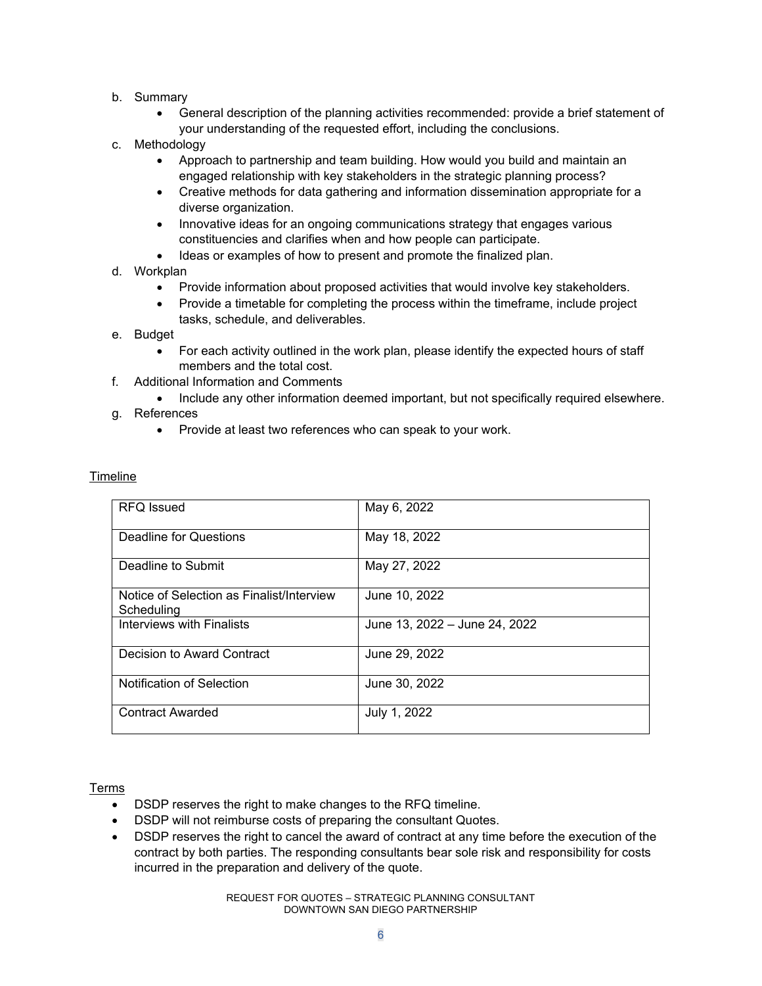- b. Summary
	- General description of the planning activities recommended: provide a brief statement of your understanding of the requested effort, including the conclusions.
- c. Methodology
	- Approach to partnership and team building. How would you build and maintain an engaged relationship with key stakeholders in the strategic planning process?
	- Creative methods for data gathering and information dissemination appropriate for a diverse organization.
	- Innovative ideas for an ongoing communications strategy that engages various constituencies and clarifies when and how people can participate.
	- Ideas or examples of how to present and promote the finalized plan.
- d. Workplan
	- Provide information about proposed activities that would involve key stakeholders.
	- Provide a timetable for completing the process within the timeframe, include project tasks, schedule, and deliverables.
- e. Budget
	- For each activity outlined in the work plan, please identify the expected hours of staff members and the total cost.
- f. Additional Information and Comments
	- Include any other information deemed important, but not specifically required elsewhere.
- g. References
	- Provide at least two references who can speak to your work.

| <b>RFQ Issued</b>                                       | May 6, 2022                   |
|---------------------------------------------------------|-------------------------------|
| Deadline for Questions                                  | May 18, 2022                  |
| Deadline to Submit                                      | May 27, 2022                  |
| Notice of Selection as Finalist/Interview<br>Scheduling | June 10, 2022                 |
| <b>Interviews with Finalists</b>                        | June 13, 2022 – June 24, 2022 |
| Decision to Award Contract                              | June 29, 2022                 |
| <b>Notification of Selection</b>                        | June 30, 2022                 |
| <b>Contract Awarded</b>                                 | July 1, 2022                  |

#### Timeline

#### Terms

- DSDP reserves the right to make changes to the RFQ timeline.
- DSDP will not reimburse costs of preparing the consultant Quotes.
- DSDP reserves the right to cancel the award of contract at any time before the execution of the contract by both parties. The responding consultants bear sole risk and responsibility for costs incurred in the preparation and delivery of the quote.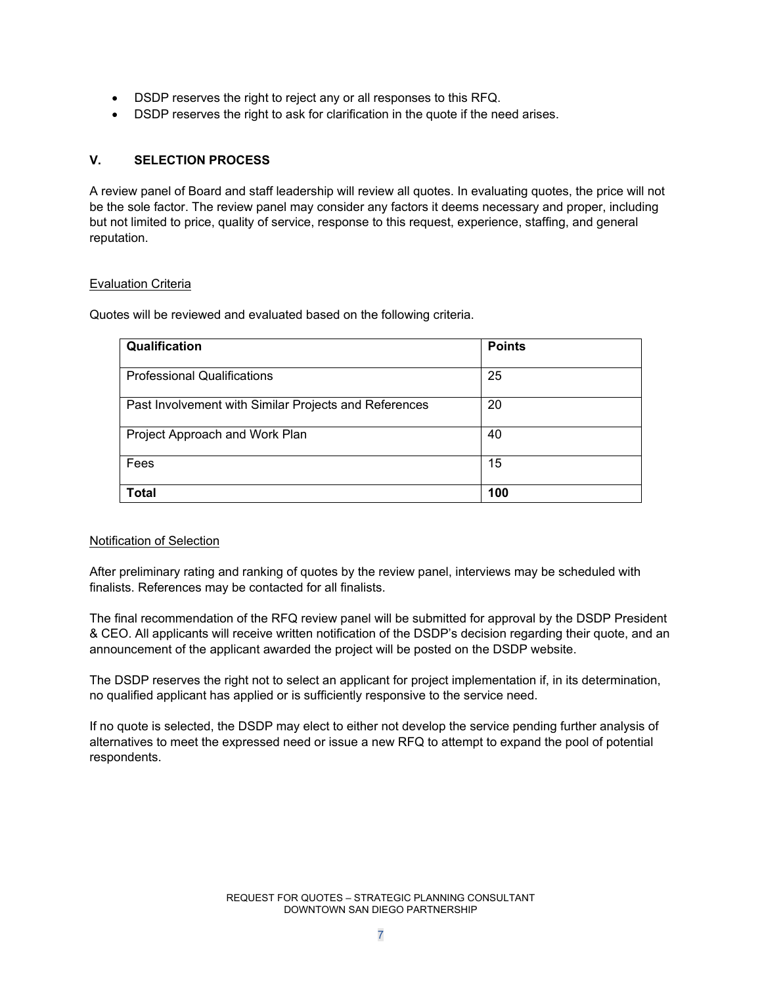- DSDP reserves the right to reject any or all responses to this RFQ.
- DSDP reserves the right to ask for clarification in the quote if the need arises.

## **V. SELECTION PROCESS**

A review panel of Board and staff leadership will review all quotes. In evaluating quotes, the price will not be the sole factor. The review panel may consider any factors it deems necessary and proper, including but not limited to price, quality of service, response to this request, experience, staffing, and general reputation.

## Evaluation Criteria

Quotes will be reviewed and evaluated based on the following criteria.

| Qualification                                         | <b>Points</b> |
|-------------------------------------------------------|---------------|
| <b>Professional Qualifications</b>                    | 25            |
| Past Involvement with Similar Projects and References | 20            |
| Project Approach and Work Plan                        | 40            |
| Fees                                                  | 15            |
| Total                                                 | 100           |

## Notification of Selection

After preliminary rating and ranking of quotes by the review panel, interviews may be scheduled with finalists. References may be contacted for all finalists.

The final recommendation of the RFQ review panel will be submitted for approval by the DSDP President & CEO. All applicants will receive written notification of the DSDP's decision regarding their quote, and an announcement of the applicant awarded the project will be posted on the DSDP website.

The DSDP reserves the right not to select an applicant for project implementation if, in its determination, no qualified applicant has applied or is sufficiently responsive to the service need.

If no quote is selected, the DSDP may elect to either not develop the service pending further analysis of alternatives to meet the expressed need or issue a new RFQ to attempt to expand the pool of potential respondents.